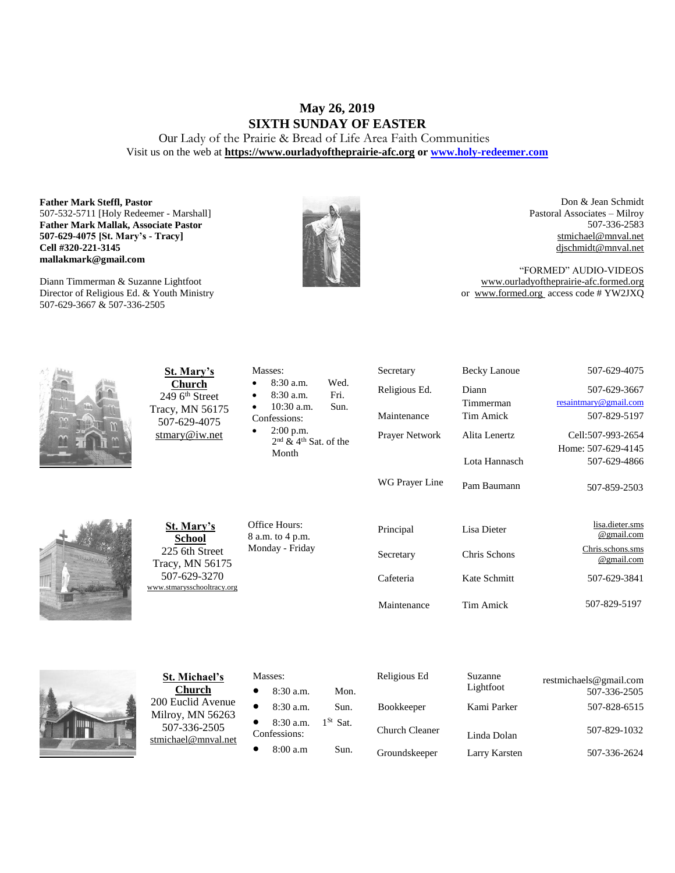# **May 26, 2019 SIXTH SUNDAY OF EASTER**

Our Lady of the Prairie & Bread of Life Area Faith Communities Visit us on the web at **https:/[/www.ourladyoftheprairie-afc.org](http://www.ourladyoftheprairie-afc.org/) o[r www.holy-redeemer.com](http://www.holy-redeemer.com/)**

#### **Father Mark Steffl, Pastor** 507-532-5711 [Holy Redeemer - Marshall] **Father Mark Mallak, Associate Pastor 507-629-4075 [St. Mary's - Tracy] Cell #320-221-3145 mallakmark@gmail.com**

Diann Timmerman & Suzanne Lightfoot Director of Religious Ed. & Youth Ministry 507-629-3667 & 507-336-2505



Don & Jean Schmidt Pastoral Associates – Milroy 507-336-2583 [stmichael@mnval.net](mailto:stmichael@means.net) [djschmidt@mnval.net](mailto:djschmidt@mnval.net)

"FORMED" AUDIO-VIDEOS [www.ourladyoftheprairie-afc.formed.org](http://www.ourladyoftheprairie-afc.formed.org/) or www.formed.org access code # YW2JXQ

| St. Mary's<br>Church<br>$249$ 6 <sup>th</sup> Street<br>Tracy, MN 56175<br>507-629-4075<br>$\frac{\text{stmary@iw.net}}{}$ | Masses:<br>Wed.<br>$8:30$ a.m.<br>Fri.<br>$8:30$ a.m.<br>10:30 a.m.<br>Sun.<br>Confessions:<br>$2:00$ p.m.<br>$2nd$ & 4 <sup>th</sup> Sat. of the<br>Month | Secretary<br>Religious Ed.<br>Maintenance<br>Prayer Network<br>WG Prayer Line | <b>Becky Lanoue</b><br>Diann<br>Timmerman<br><b>Tim Amick</b><br>Alita Lenertz<br>Lota Hannasch<br>Pam Baumann | 507-629-4075<br>507-629-3667<br>resaintmary@gmail.com<br>507-829-5197<br>Cell:507-993-2654<br>Home: 507-629-4145<br>507-629-4866<br>507-859-2503 |
|----------------------------------------------------------------------------------------------------------------------------|------------------------------------------------------------------------------------------------------------------------------------------------------------|-------------------------------------------------------------------------------|----------------------------------------------------------------------------------------------------------------|--------------------------------------------------------------------------------------------------------------------------------------------------|
| St. Mary's<br><b>School</b><br>225 6th Street<br>Tracy, MN 56175<br>507-629-3270<br>www.stmarysschooltracy.org             | Office Hours:<br>8 a.m. to 4 p.m.<br>Monday - Friday                                                                                                       | Principal<br>Secretary<br>Cafeteria<br>Maintenance                            | Lisa Dieter<br>Chris Schons<br>Kate Schmitt<br>Tim Amick                                                       | lisa.dieter.sms<br>@gmail.com<br>Chris.schons.sms<br>@gmail.com<br>507-629-3841<br>507-829-5197                                                  |
| <b>St. Michael's</b><br>Church                                                                                             | Masses:<br>8:30 a.m.<br>Mon.                                                                                                                               | Religious Ed                                                                  | Suzanne<br>Lightfoot                                                                                           | restmichaels@gmail.com<br>507-336-2505                                                                                                           |



200 Euclid Avenue Milroy, MN 56263 507-336-2505 [stmichael@mnval.net](mailto:stmichael@mnval.net)

• 8:30 a.m. Sun. 8:30 a.m. 1<sup>St</sup> Sat.

Confessions:

 $\bullet$  8:00 a.m Sun.

| Religious Ed          | Suzanne<br>Lightfoot | restmichaels@gmail.com<br>507-336-2505 |
|-----------------------|----------------------|----------------------------------------|
| <b>Bookkeeper</b>     | Kami Parker          | 507-828-6515                           |
| <b>Church Cleaner</b> | Linda Dolan          | 507-829-1032                           |
| Groundskeeper         | Larry Karsten        | 507-336-2624                           |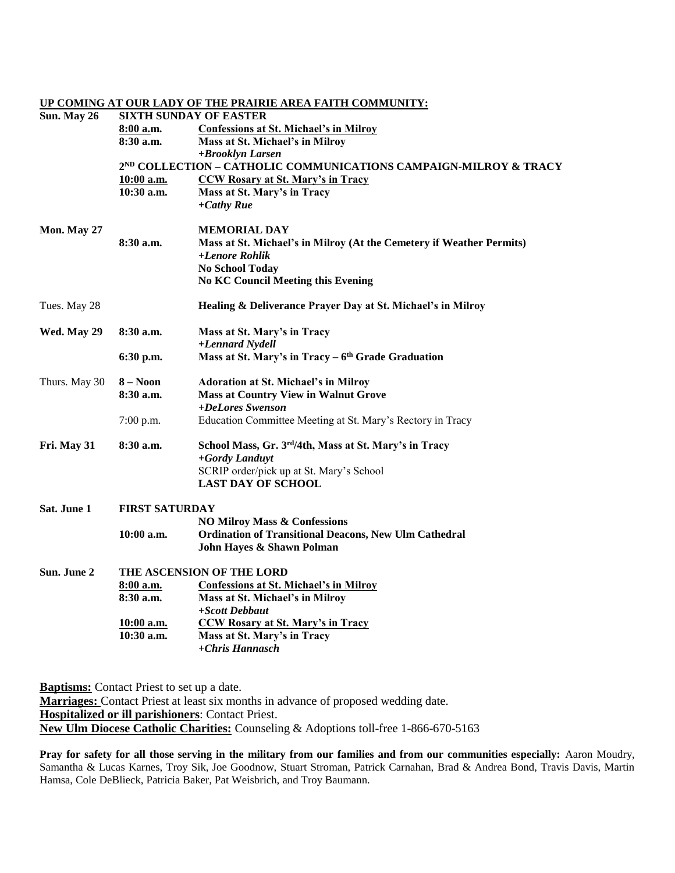|               |                                                                              | <u>UP COMING AT OUR LADY OF THE PRAIRIE AREA FAITH COMMUNITY:</u>    |  |  |
|---------------|------------------------------------------------------------------------------|----------------------------------------------------------------------|--|--|
| Sun. May 26   |                                                                              | <b>SIXTH SUNDAY OF EASTER</b>                                        |  |  |
|               | $8:00$ a.m.                                                                  | <b>Confessions at St. Michael's in Milroy</b>                        |  |  |
|               | $8:30$ a.m.                                                                  | Mass at St. Michael's in Milroy                                      |  |  |
|               |                                                                              | +Brooklyn Larsen                                                     |  |  |
|               | 2 <sup>ND</sup> COLLECTION – CATHOLIC COMMUNICATIONS CAMPAIGN-MILROY & TRACY |                                                                      |  |  |
|               | 10:00 a.m.                                                                   | <b>CCW Rosary at St. Mary's in Tracy</b>                             |  |  |
|               | 10:30 a.m.                                                                   | Mass at St. Mary's in Tracy                                          |  |  |
|               |                                                                              | $+Cathy$ Rue                                                         |  |  |
| Mon. May 27   |                                                                              | <b>MEMORIAL DAY</b>                                                  |  |  |
|               | $8:30$ a.m.                                                                  | Mass at St. Michael's in Milroy (At the Cemetery if Weather Permits) |  |  |
|               |                                                                              | +Lenore Rohlik                                                       |  |  |
|               |                                                                              | <b>No School Today</b>                                               |  |  |
|               |                                                                              | <b>No KC Council Meeting this Evening</b>                            |  |  |
| Tues. May 28  |                                                                              | Healing & Deliverance Prayer Day at St. Michael's in Milroy          |  |  |
| Wed. May 29   | 8:30 a.m.                                                                    | Mass at St. Mary's in Tracy                                          |  |  |
|               |                                                                              | +Lennard Nydell                                                      |  |  |
|               | 6:30 p.m.                                                                    | Mass at St. Mary's in $Tracy-6th Grade Gradient$                     |  |  |
|               |                                                                              |                                                                      |  |  |
| Thurs. May 30 | $8 - N00n$                                                                   | <b>Adoration at St. Michael's in Milroy</b>                          |  |  |
|               | 8:30 a.m.                                                                    | <b>Mass at Country View in Walnut Grove</b>                          |  |  |
|               |                                                                              | +DeLores Swenson                                                     |  |  |
|               | 7:00 p.m.                                                                    | Education Committee Meeting at St. Mary's Rectory in Tracy           |  |  |
| Fri. May 31   | 8:30 a.m.                                                                    | School Mass, Gr. 3rd/4th, Mass at St. Mary's in Tracy                |  |  |
|               |                                                                              | +Gordy Landuyt                                                       |  |  |
|               |                                                                              | SCRIP order/pick up at St. Mary's School                             |  |  |
|               |                                                                              | <b>LAST DAY OF SCHOOL</b>                                            |  |  |
|               |                                                                              |                                                                      |  |  |
| Sat. June 1   | <b>FIRST SATURDAY</b>                                                        |                                                                      |  |  |
|               |                                                                              | <b>NO Milroy Mass &amp; Confessions</b>                              |  |  |
|               | $10:00$ a.m.                                                                 | <b>Ordination of Transitional Deacons, New Ulm Cathedral</b>         |  |  |
|               |                                                                              | John Hayes & Shawn Polman                                            |  |  |
| Sun. June 2   | THE ASCENSION OF THE LORD                                                    |                                                                      |  |  |
|               | $8:00$ a.m.                                                                  | <b>Confessions at St. Michael's in Milroy</b>                        |  |  |
|               | 8:30 a.m.                                                                    | Mass at St. Michael's in Milroy                                      |  |  |
|               |                                                                              | $+ Scott\ Deblaut$                                                   |  |  |
|               | 10:00 a.m.                                                                   | CCW Rosary at St. Mary's in Tracy                                    |  |  |
|               | 10:30 a.m.                                                                   | Mass at St. Mary's in Tracy                                          |  |  |
|               |                                                                              | +Chris Hannasch                                                      |  |  |
|               |                                                                              |                                                                      |  |  |
|               |                                                                              |                                                                      |  |  |

**Baptisms:** Contact Priest to set up a date. **Marriages:** Contact Priest at least six months in advance of proposed wedding date. **Hospitalized or ill parishioners**: Contact Priest. **New Ulm Diocese Catholic Charities:** Counseling & Adoptions toll-free 1-866-670-5163

**Pray for safety for all those serving in the military from our families and from our communities especially:** Aaron Moudry, Samantha & Lucas Karnes, Troy Sik, Joe Goodnow, Stuart Stroman, Patrick Carnahan, Brad & Andrea Bond, Travis Davis, Martin Hamsa, Cole DeBlieck, Patricia Baker, Pat Weisbrich, and Troy Baumann.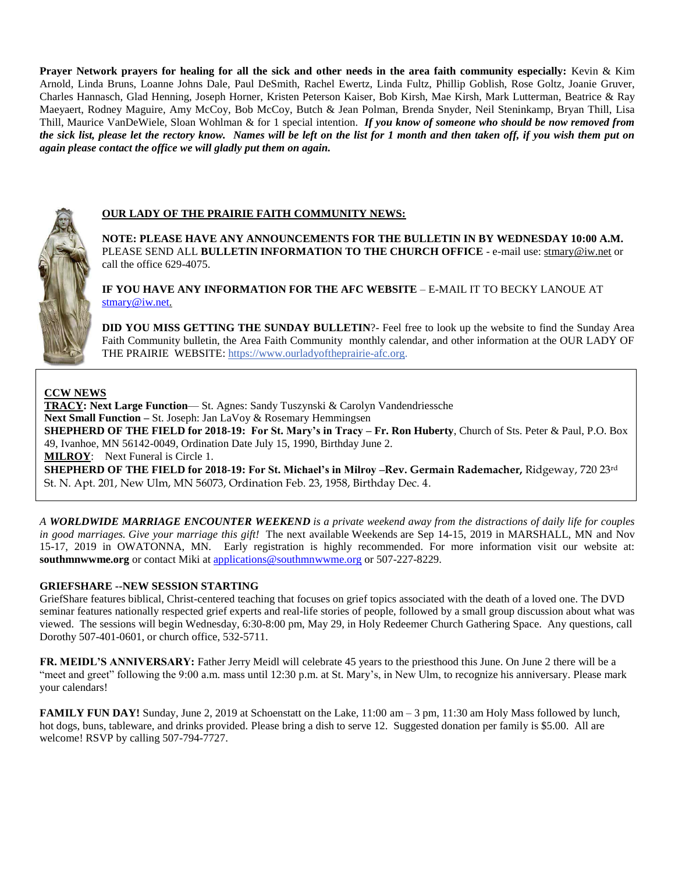**Prayer Network prayers for healing for all the sick and other needs in the area faith community especially:** Kevin & Kim Arnold, Linda Bruns, Loanne Johns Dale, Paul DeSmith, Rachel Ewertz, Linda Fultz, Phillip Goblish, Rose Goltz, Joanie Gruver, Charles Hannasch, Glad Henning, Joseph Horner, Kristen Peterson Kaiser, Bob Kirsh, Mae Kirsh, Mark Lutterman, Beatrice & Ray Maeyaert, Rodney Maguire, Amy McCoy, Bob McCoy, Butch & Jean Polman, Brenda Snyder, Neil Steninkamp, Bryan Thill, Lisa Thill, Maurice VanDeWiele, Sloan Wohlman & for 1 special intention. *If you know of someone who should be now removed from the sick list, please let the rectory know. Names will be left on the list for 1 month and then taken off, if you wish them put on again please contact the office we will gladly put them on again.*



#### **OUR LADY OF THE PRAIRIE FAITH COMMUNITY NEWS:**

**NOTE: PLEASE HAVE ANY ANNOUNCEMENTS FOR THE BULLETIN IN BY WEDNESDAY 10:00 A.M.** PLEASE SEND ALL **BULLETIN INFORMATION TO THE CHURCH OFFICE** - e-mail use[: stmary@iw.net](mailto:stmary@iw.net) or call the office 629-4075.

**IF YOU HAVE ANY INFORMATION FOR THE AFC WEBSITE** – E-MAIL IT TO BECKY LANOUE AT [stmary@iw.net.](mailto:stmary@iw.net)

**DID YOU MISS GETTING THE SUNDAY BULLETIN**?- Feel free to look up the website to find the Sunday Area Faith Community bulletin, the Area Faith Community monthly calendar, and other information at the OUR LADY OF THE PRAIRIE WEBSITE: https:/[/www.ourladyoftheprairie-afc.org.](http://www.ourladyoftheprairie-afc.org/)

#### **CCW NEWS**

**TRACY: Next Large Function**— St. Agnes: Sandy Tuszynski & Carolyn Vandendriessche **Next Small Function –** St. Joseph: Jan LaVoy & Rosemary Hemmingsen **SHEPHERD OF THE FIELD for 2018-19: For St. Mary's in Tracy – Fr. Ron Huberty**, Church of Sts. Peter & Paul, P.O. Box 49, Ivanhoe, MN 56142-0049, Ordination Date July 15, 1990, Birthday June 2. **MILROY**: Next Funeral is Circle 1. **SHEPHERD OF THE FIELD for 2018-19: For St. Michael's in Milroy –Rev. Germain Rademacher,** Ridgeway, 720 23rd

St. N. Apt. 201, New Ulm, MN 56073, Ordination Feb. 23, 1958, Birthday Dec. 4.

*A WORLDWIDE MARRIAGE ENCOUNTER WEEKEND is a private weekend away from the distractions of daily life for couples in good marriages. Give your marriage this gift!* The next available Weekends are Sep 14-15, 2019 in MARSHALL, MN and Nov 15-17, 2019 in OWATONNA, MN. Early registration is highly recommended. For more information visit our website at: **southmnwwme.org** or contact Miki at [applications@southmnwwme.org](mailto:applications@southmnwwme.org) or 507-227-8229.

#### **GRIEFSHARE --NEW SESSION STARTING**

GriefShare features biblical, Christ-centered teaching that focuses on grief topics associated with the death of a loved one. The DVD seminar features nationally respected grief experts and real-life stories of people, followed by a small group discussion about what was viewed. The sessions will begin Wednesday, 6:30-8:00 pm, May 29, in Holy Redeemer Church Gathering Space. Any questions, call Dorothy 507-401-0601, or church office, 532-5711.

**FR. MEIDL'S ANNIVERSARY:** Father Jerry Meidl will celebrate 45 years to the priesthood this June. On June 2 there will be a "meet and greet" following the 9:00 a.m. mass until 12:30 p.m. at St. Mary's, in New Ulm, to recognize his anniversary. Please mark your calendars!

**FAMILY FUN DAY!** Sunday, June 2, 2019 at Schoenstatt on the Lake, 11:00 am – 3 pm, 11:30 am Holy Mass followed by lunch, hot dogs, buns, tableware, and drinks provided. Please bring a dish to serve 12. Suggested donation per family is \$5.00. All are welcome! RSVP by calling 507-794-7727.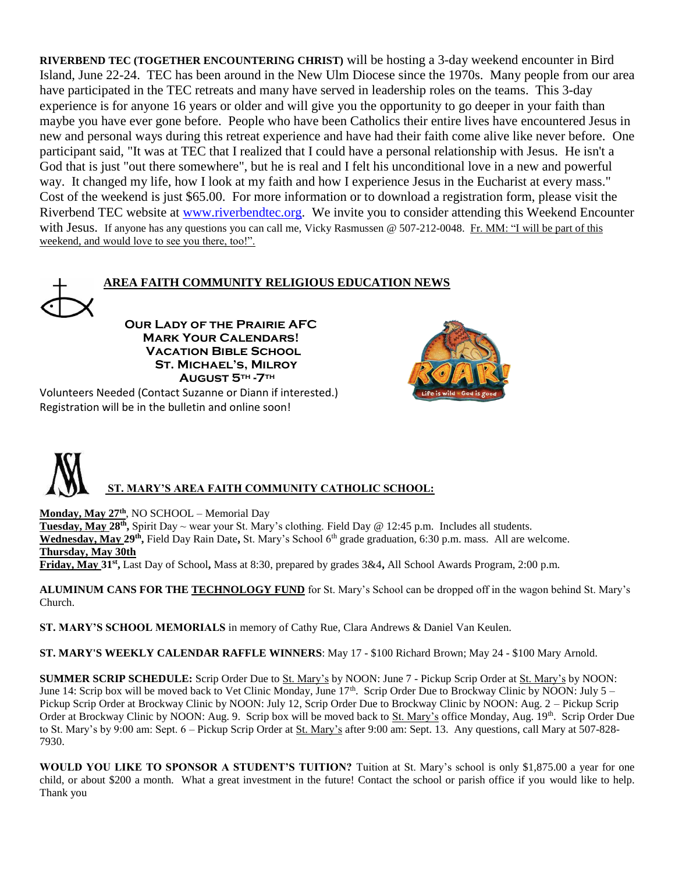**RIVERBEND TEC (TOGETHER ENCOUNTERING CHRIST)** will be hosting a 3-day weekend encounter in Bird Island, June 22-24. TEC has been around in the New Ulm Diocese since the 1970s. Many people from our area have participated in the TEC retreats and many have served in leadership roles on the teams. This 3-day experience is for anyone 16 years or older and will give you the opportunity to go deeper in your faith than maybe you have ever gone before. People who have been Catholics their entire lives have encountered Jesus in new and personal ways during this retreat experience and have had their faith come alive like never before. One participant said, "It was at TEC that I realized that I could have a personal relationship with Jesus. He isn't a God that is just "out there somewhere", but he is real and I felt his unconditional love in a new and powerful way. It changed my life, how I look at my faith and how I experience Jesus in the Eucharist at every mass." Cost of the weekend is just \$65.00. For more information or to download a registration form, please visit the Riverbend TEC website at [www.riverbendtec.org.](http://www.riverbendtec.org/) We invite you to consider attending this Weekend Encounter with Jesus. If anyone has any questions you can call me, Vicky Rasmussen @ 507-212-0048. Fr. MM: "I will be part of this weekend, and would love to see you there, too!".

# **AREA FAITH COMMUNITY RELIGIOUS EDUCATION NEWS**

**OUR LADY OF THE PRAIRIE AFC Mark Your Calendars! Vacation Bible School St. Michael's, Milroy August 5th -7th**

Volunteers Needed (Contact Suzanne or Diann if interested.) Registration will be in the bulletin and online soon!



# **ST. MARY'S AREA FAITH COMMUNITY CATHOLIC SCHOOL:**

**Monday, May 27th**, NO SCHOOL – Memorial Day Tuesday, May 28<sup>th</sup>, Spirit Day ~ wear your St. Mary's clothing. Field Day @ 12:45 p.m. Includes all students. Wednesday, May 29<sup>th</sup>, Field Day Rain Date, St. Mary's School 6<sup>th</sup> grade graduation, 6:30 p.m. mass. All are welcome. **Thursday, May 30th Friday, May 31st ,** Last Day of School**,** Mass at 8:30, prepared by grades 3&4**,** All School Awards Program, 2:00 p.m.

**ALUMINUM CANS FOR THE TECHNOLOGY FUND** for St. Mary's School can be dropped off in the wagon behind St. Mary's Church.

**ST. MARY'S SCHOOL MEMORIALS** in memory of Cathy Rue, Clara Andrews & Daniel Van Keulen.

**ST. MARY'S WEEKLY CALENDAR RAFFLE WINNERS**: May 17 - \$100 Richard Brown; May 24 - \$100 Mary Arnold.

**SUMMER SCRIP SCHEDULE:** Scrip Order Due to St. Mary's by NOON: June 7 - Pickup Scrip Order at St. Mary's by NOON: June 14: Scrip box will be moved back to Vet Clinic Monday, June 17<sup>th</sup>. Scrip Order Due to Brockway Clinic by NOON: July 5 – Pickup Scrip Order at Brockway Clinic by NOON: July 12, Scrip Order Due to Brockway Clinic by NOON: Aug. 2 – Pickup Scrip Order at Brockway Clinic by NOON: Aug. 9. Scrip box will be moved back to St. Mary's office Monday, Aug. 19<sup>th</sup>. Scrip Order Due to St. Mary's by 9:00 am: Sept. 6 – Pickup Scrip Order at St. Mary's after 9:00 am: Sept. 13. Any questions, call Mary at 507-828- 7930.

**WOULD YOU LIKE TO SPONSOR A STUDENT'S TUITION?** Tuition at St. Mary's school is only \$1,875.00 a year for one child, or about \$200 a month. What a great investment in the future! Contact the school or parish office if you would like to help. Thank you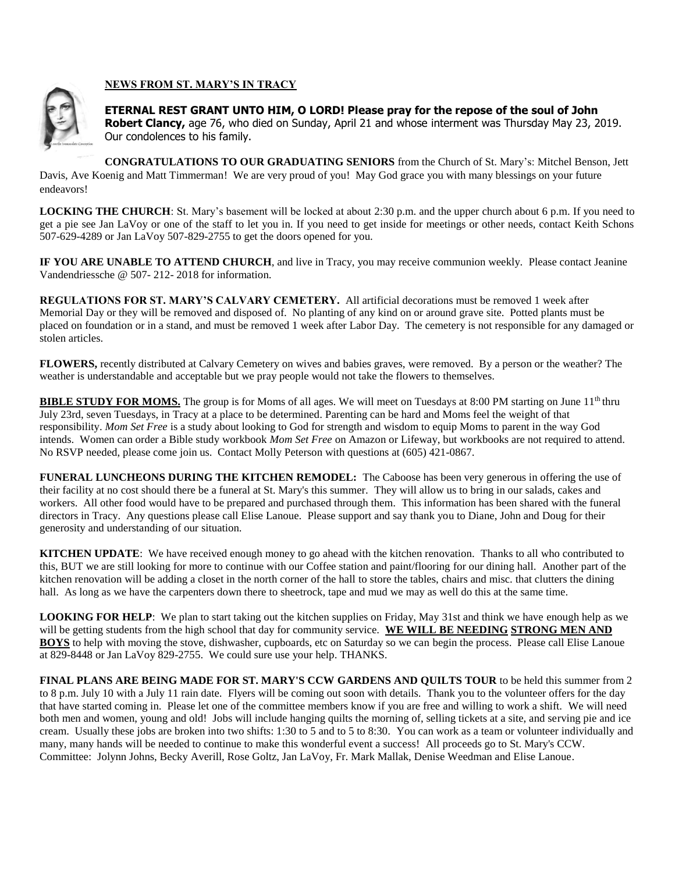



**ETERNAL REST GRANT UNTO HIM, O LORD! Please pray for the repose of the soul of John Robert Clancy,** age 76, who died on Sunday, April 21 and whose interment was Thursday May 23, 2019. Our condolences to his family.

**CONGRATULATIONS TO OUR GRADUATING SENIORS** from the Church of St. Mary's: Mitchel Benson, Jett Davis, Ave Koenig and Matt Timmerman! We are very proud of you! May God grace you with many blessings on your future endeavors!

**LOCKING THE CHURCH**: St. Mary's basement will be locked at about 2:30 p.m. and the upper church about 6 p.m. If you need to get a pie see Jan LaVoy or one of the staff to let you in. If you need to get inside for meetings or other needs, contact Keith Schons 507-629-4289 or Jan LaVoy 507-829-2755 to get the doors opened for you.

**IF YOU ARE UNABLE TO ATTEND CHURCH**, and live in Tracy, you may receive communion weekly. Please contact Jeanine Vandendriessche @ 507- 212- 2018 for information.

**REGULATIONS FOR ST. MARY'S CALVARY CEMETERY.** All artificial decorations must be removed 1 week after Memorial Day or they will be removed and disposed of. No planting of any kind on or around grave site. Potted plants must be placed on foundation or in a stand, and must be removed 1 week after Labor Day. The cemetery is not responsible for any damaged or stolen articles.

**FLOWERS,** recently distributed at Calvary Cemetery on wives and babies graves, were removed. By a person or the weather? The weather is understandable and acceptable but we pray people would not take the flowers to themselves.

**BIBLE STUDY FOR MOMS.** The group is for Moms of all ages. We will meet on Tuesdays at 8:00 PM starting on June 11<sup>th</sup> thru July 23rd, seven Tuesdays, in Tracy at a place to be determined. Parenting can be hard and Moms feel the weight of that responsibility. *Mom Set Free* is a study about looking to God for strength and wisdom to equip Moms to parent in the way God intends. Women can order a Bible study workbook *Mom Set Free* on Amazon or Lifeway, but workbooks are not required to attend. No RSVP needed, please come join us. Contact Molly Peterson with questions at (605) 421-0867.

**FUNERAL LUNCHEONS DURING THE KITCHEN REMODEL:** The Caboose has been very generous in offering the use of their facility at no cost should there be a funeral at St. Mary's this summer. They will allow us to bring in our salads, cakes and workers. All other food would have to be prepared and purchased through them. This information has been shared with the funeral directors in Tracy. Any questions please call Elise Lanoue. Please support and say thank you to Diane, John and Doug for their generosity and understanding of our situation.

**KITCHEN UPDATE**: We have received enough money to go ahead with the kitchen renovation. Thanks to all who contributed to this, BUT we are still looking for more to continue with our Coffee station and paint/flooring for our dining hall. Another part of the kitchen renovation will be adding a closet in the north corner of the hall to store the tables, chairs and misc. that clutters the dining hall. As long as we have the carpenters down there to sheetrock, tape and mud we may as well do this at the same time.

**LOOKING FOR HELP**: We plan to start taking out the kitchen supplies on Friday, May 31st and think we have enough help as we will be getting students from the high school that day for community service. **WE WILL BE NEEDING STRONG MEN AND BOYS** to help with moving the stove, dishwasher, cupboards, etc on Saturday so we can begin the process. Please call Elise Lanoue at 829-8448 or Jan LaVoy 829-2755. We could sure use your help. THANKS.

**FINAL PLANS ARE BEING MADE FOR ST. MARY'S CCW GARDENS AND QUILTS TOUR** to be held this summer from 2 to 8 p.m. July 10 with a July 11 rain date. Flyers will be coming out soon with details. Thank you to the volunteer offers for the day that have started coming in. Please let one of the committee members know if you are free and willing to work a shift. We will need both men and women, young and old! Jobs will include hanging quilts the morning of, selling tickets at a site, and serving pie and ice cream. Usually these jobs are broken into two shifts: 1:30 to 5 and to 5 to 8:30. You can work as a team or volunteer individually and many, many hands will be needed to continue to make this wonderful event a success! All proceeds go to St. Mary's CCW. Committee: Jolynn Johns, Becky Averill, Rose Goltz, Jan LaVoy, Fr. Mark Mallak, Denise Weedman and Elise Lanoue.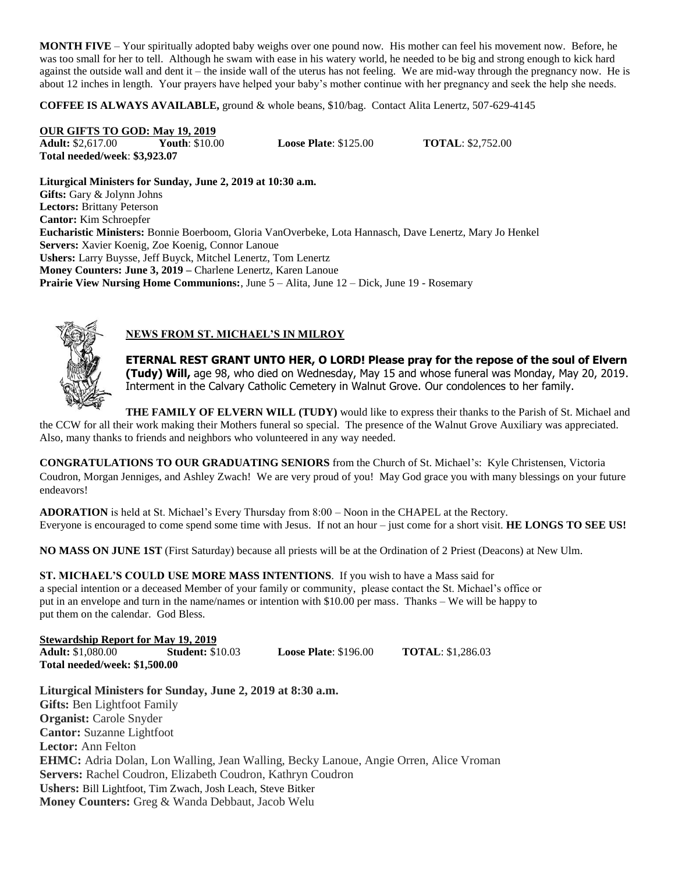**MONTH FIVE** – Your spiritually adopted baby weighs over one pound now. His mother can feel his movement now. Before, he was too small for her to tell. Although he swam with ease in his watery world, he needed to be big and strong enough to kick hard against the outside wall and dent it – the inside wall of the uterus has not feeling. We are mid-way through the pregnancy now. He is about 12 inches in length. Your prayers have helped your baby's mother continue with her pregnancy and seek the help she needs.

**COFFEE IS ALWAYS AVAILABLE,** ground & whole beans, \$10/bag. Contact Alita Lenertz, 507-629-4145

### **OUR GIFTS TO GOD: May 19, 2019 Adult:** \$2,617.00 **Youth**: \$10.00 **Loose Plate**: \$125.00 **TOTAL**: \$2,752.00 **Total needed/week**: **\$3,923.07**

**Liturgical Ministers for Sunday, June 2, 2019 at 10:30 a.m. Gifts:** Gary & Jolynn Johns **Lectors:** Brittany Peterson **Cantor:** Kim Schroepfer **Eucharistic Ministers:** Bonnie Boerboom, Gloria VanOverbeke, Lota Hannasch, Dave Lenertz, Mary Jo Henkel **Servers:** Xavier Koenig, Zoe Koenig, Connor Lanoue **Ushers:** Larry Buysse, Jeff Buyck, Mitchel Lenertz, Tom Lenertz **Money Counters: June 3, 2019 –** Charlene Lenertz, Karen Lanoue **Prairie View Nursing Home Communions:**, June 5 – Alita, June 12 – Dick, June 19 - Rosemary



## **NEWS FROM ST. MICHAEL'S IN MILROY**

**ETERNAL REST GRANT UNTO HER, O LORD! Please pray for the repose of the soul of Elvern (Tudy) Will,** age 98, who died on Wednesday, May 15 and whose funeral was Monday, May 20, 2019. Interment in the Calvary Catholic Cemetery in Walnut Grove. Our condolences to her family.

**THE FAMILY OF ELVERN WILL (TUDY)** would like to express their thanks to the Parish of St. Michael and the CCW for all their work making their Mothers funeral so special. The presence of the Walnut Grove Auxiliary was appreciated. Also, many thanks to friends and neighbors who volunteered in any way needed.

**CONGRATULATIONS TO OUR GRADUATING SENIORS** from the Church of St. Michael's: Kyle Christensen, Victoria Coudron, Morgan Jenniges, and Ashley Zwach! We are very proud of you! May God grace you with many blessings on your future endeavors!

**ADORATION** is held at St. Michael's Every Thursday from 8:00 – Noon in the CHAPEL at the Rectory. Everyone is encouraged to come spend some time with Jesus. If not an hour – just come for a short visit. **HE LONGS TO SEE US!**

**NO MASS ON JUNE 1ST** (First Saturday) because all priests will be at the Ordination of 2 Priest (Deacons) at New Ulm.

**ST. MICHAEL'S COULD USE MORE MASS INTENTIONS**. If you wish to have a Mass said for a special intention or a deceased Member of your family or community, please contact the St. Michael's office or put in an envelope and turn in the name/names or intention with \$10.00 per mass. Thanks – We will be happy to put them on the calendar. God Bless.

**Stewardship Report for May 19, 2019 Adult:** \$1,080.00 **Student:** \$10.03 **Loose Plate**: \$196.00 **TOTAL**: \$1,286.03 **Total needed/week: \$1,500.00**

**Liturgical Ministers for Sunday, June 2, 2019 at 8:30 a.m. Gifts:** Ben Lightfoot Family **Organist:** Carole Snyder **Cantor:** Suzanne Lightfoot **Lector:** Ann Felton **EHMC:** Adria Dolan, Lon Walling, Jean Walling, Becky Lanoue, Angie Orren, Alice Vroman **Servers:** Rachel Coudron, Elizabeth Coudron, Kathryn Coudron **Ushers:** Bill Lightfoot, Tim Zwach, Josh Leach, Steve Bitker **Money Counters:** Greg & Wanda Debbaut, Jacob Welu